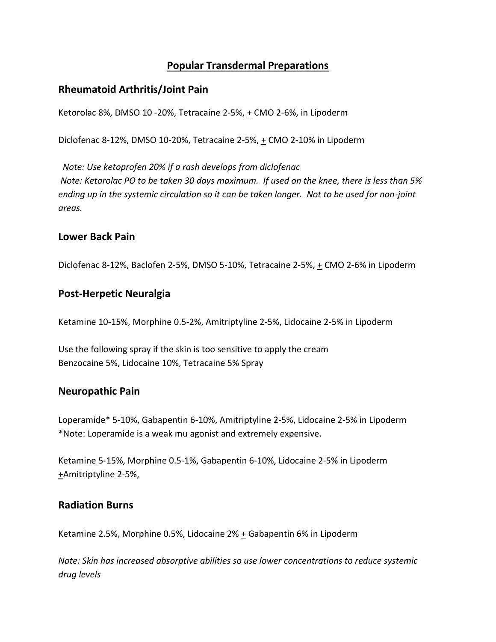# **Popular Transdermal Preparations**

#### **Rheumatoid Arthritis/Joint Pain**

Ketorolac 8%, DMSO 10 -20%, Tetracaine 2-5%, + CMO 2-6%, in Lipoderm

Diclofenac 8-12%, DMSO 10-20%, Tetracaine 2-5%, + CMO 2-10% in Lipoderm

 *Note: Use ketoprofen 20% if a rash develops from diclofenac Note: Ketorolac PO to be taken 30 days maximum. If used on the knee, there is less than 5% ending up in the systemic circulation so it can be taken longer. Not to be used for non-joint areas.*

#### **Lower Back Pain**

Diclofenac 8-12%, Baclofen 2-5%, DMSO 5-10%, Tetracaine 2-5%, + CMO 2-6% in Lipoderm

#### **Post-Herpetic Neuralgia**

Ketamine 10-15%, Morphine 0.5-2%, Amitriptyline 2-5%, Lidocaine 2-5% in Lipoderm

Use the following spray if the skin is too sensitive to apply the cream Benzocaine 5%, Lidocaine 10%, Tetracaine 5% Spray

#### **Neuropathic Pain**

Loperamide\* 5-10%, Gabapentin 6-10%, Amitriptyline 2-5%, Lidocaine 2-5% in Lipoderm \*Note: Loperamide is a weak mu agonist and extremely expensive.

Ketamine 5-15%, Morphine 0.5-1%, Gabapentin 6-10%, Lidocaine 2-5% in Lipoderm +Amitriptyline 2-5%,

## **Radiation Burns**

Ketamine 2.5%, Morphine 0.5%, Lidocaine  $2\%$  + Gabapentin 6% in Lipoderm

*Note: Skin has increased absorptive abilities so use lower concentrations to reduce systemic drug levels*